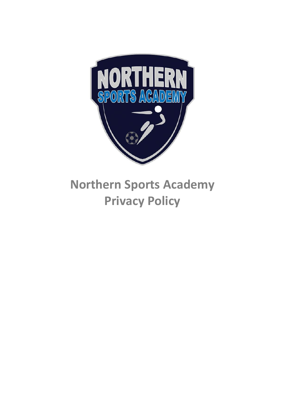

# **Northern Sports Academy Privacy Policy**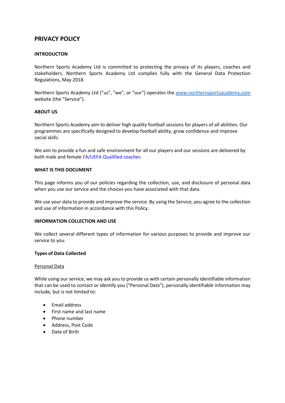# **PRIVACY POLICY**

#### **INTRODUCTON**

Northern Sports Academy Ltd is committed to protecting the privacy of its players, coaches and stakeholders. Northern Sports Academy Ltd complies fully with the General Data Protection Regulations, May 2018.

Northern Sports Academy Ltd ("us", "we", or "our") operates the www.northernsportsacademy.com website (the "Service").

#### **ABOUT US**

Northern Sports Academy aim to deliver high quality football sessions for players of all abilities. Our programmes are specifically designed to develop football ability, grow confidence and improve social skills.

We aim to provide a fun and safe environment for all our players and our sessions are delivered by both male and female FA/UEFA [Qualified](http://www.thefa.com/my-football/football-volunteers/coachingvolunteering/get%20into%20coaching/coachingpathway) coaches

#### **WHAT IS THIS DOCUMENT**

This page informs you of our policies regarding the collection, use, and disclosure of personal data when you use our service and the choices you have associated with that data.

We use your data to provide and improve the service. By using the Service, you agree to the collection and use of information in accordance with this Policy.

#### **INFORMATION COLLECTION AND USE**

We collect several different types of information for various purposes to provide and improve our service to you.

#### **Types of Data Collected**

#### Personal Data

While using our service, we may ask you to provide us with certain personally identifiable information that can be used to contact or identify you ("Personal Data"), personally identifiable information may include, but is not limited to:

- Email address
- First name and last name
- Phone number
- Address, Post Code
- Date of Birth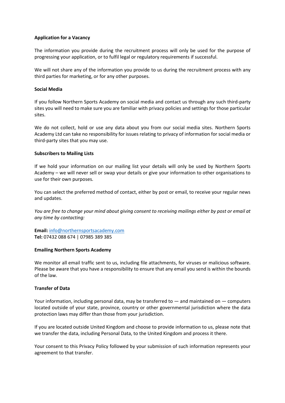# **Application for a Vacancy**

The information you provide during the recruitment process will only be used for the purpose of progressing your application, or to fulfil legal or regulatory requirements if successful.

We will not share any of the information you provide to us during the recruitment process with any third parties for marketing, or for any other purposes.

#### **Social Media**

If you follow Northern Sports Academy on social media and contact us through any such third-party sites you will need to make sure you are familiar with privacy policies and settings for those particular sites.

We do not collect, hold or use any data about you from our social media sites. Northern Sports Academy Ltd can take no responsibility for issues relating to privacy of information for social media or third-party sites that you may use.

#### **Subscribers to Mailing Lists**

If we hold your information on our mailing list your details will only be used by Northern Sports Academy – we will never sell or swap your details or give your information to other organisations to use for their own purposes.

You can select the preferred method of contact, either by post or email, to receive your regular news and updates.

*You are free to change your mind about giving consent to receiving mailings either by post or email at any time by contacting:*

**Email:** [info@northernsportsacademy.com](mailto:info@northernsportsacademy.com) **Tel:** 07432 088 674 | 07985 389 385

#### **Emailing Northern Sports Academy**

We monitor all email traffic sent to us, including file attachments, for viruses or malicious software. Please be aware that you have a responsibility to ensure that any email you send is within the bounds of the law.

# **Transfer of Data**

Your information, including personal data, may be transferred to  $-$  and maintained on  $-$  computers located outside of your state, province, country or other governmental jurisdiction where the data protection laws may differ than those from your jurisdiction.

If you are located outside United Kingdom and choose to provide information to us, please note that we transfer the data, including Personal Data, to the United Kingdom and process it there.

Your consent to this Privacy Policy followed by your submission of such information represents your agreement to that transfer.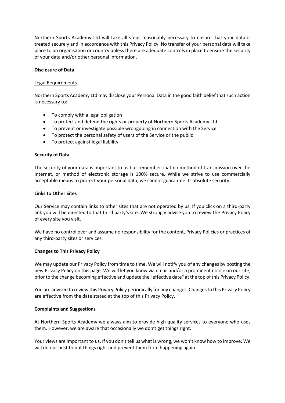Northern Sports Academy Ltd will take all steps reasonably necessary to ensure that your data is treated securely and in accordance with this Privacy Policy. No transfer of your personal data will take place to an organisation or country unless there are adequate controls in place to ensure the security of your data and/or other personal information.

#### **Disclosure of Data**

#### Legal Requirements

Northern Sports Academy Ltd may disclose your Personal Data in the good faith belief that such action is necessary to:

- To comply with a legal obligation
- To protect and defend the rights or property of Northern Sports Academy Ltd
- To prevent or investigate possible wrongdoing in connection with the Service
- To protect the personal safety of users of the Service or the public
- To protect against legal liability

# **Security of Data**

The security of your data is important to us but remember that no method of transmission over the Internet, or method of electronic storage is 100% secure. While we strive to use commercially acceptable means to protect your personal data, we cannot guarantee its absolute security.

#### **Links to Other Sites**

Our Service may contain links to other sites that are not operated by us. If you click on a third-party link you will be directed to that third party's site. We strongly advise you to review the Privacy Policy of every site you visit.

We have no control over and assume no responsibility for the content, Privacy Policies or practices of any third-party sites or services.

# **Changes to This Privacy Policy**

We may update our Privacy Policy from time to time. We will notify you of any changes by posting the new Privacy Policy on this page. We will let you know via email and/or a prominent notice on our site, prior to the change becoming effective and update the "effective date" at the top of this Privacy Policy.

You are advised to review this Privacy Policy periodically for any changes. Changes to this Privacy Policy are effective from the date stated at the top of this Privacy Policy.

# **Complaints and Suggestions**

At Northern Sports Academy we always aim to provide high quality services to everyone who uses them. However, we are aware that occasionally we don't get things right.

Your views are important to us. If you don't tell us what is wrong, we won't know how to improve. We will do our best to put things right and prevent them from happening again.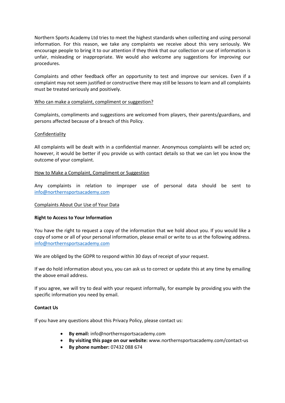Northern Sports Academy Ltd tries to meet the highest standards when collecting and using personal information. For this reason, we take any complaints we receive about this very seriously. We encourage people to bring it to our attention if they think that our collection or use of information is unfair, misleading or inappropriate. We would also welcome any suggestions for improving our procedures.

Complaints and other feedback offer an opportunity to test and improve our services. Even if a complaint may not seem justified or constructive there may still be lessons to learn and all complaints must be treated seriously and positively.

# Who can make a complaint, compliment or suggestion?

Complaints, compliments and suggestions are welcomed from players, their parents/guardians, and persons affected because of a breach of this Policy.

#### Confidentiality

All complaints will be dealt with in a confidential manner. Anonymous complaints will be acted on; however, it would be better if you provide us with contact details so that we can let you know the outcome of your complaint.

#### How to Make a Complaint, Compliment or Suggestion

Any complaints in relation to improper use of personal data should be sent to [info@northernsportsacademy.com](mailto:info@northernsportsacademy.com)

# Complaints About Our Use of Your Data

# **Right to Access to Your Information**

You have the right to request a copy of the information that we hold about you. If you would like a copy of some or all of your personal information, please email or write to us at the following address. info@northernsportsacademy.com

We are obliged by the GDPR to respond within 30 days of receipt of your request.

If we do hold information about you, you can ask us to correct or update this at any time by emailing the above email address.

If you agree, we will try to deal with your request informally, for example by providing you with the specific information you need by email.

# **Contact Us**

If you have any questions about this Privacy Policy, please contact us:

- **By email:** info@northernsportsacademy.com
- **By visiting this page on our website:** www.northernsportsacademy.com/contact-us
- **By phone number:** 07432 088 674